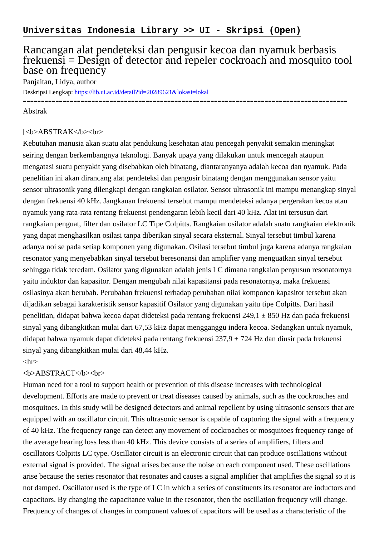# Rancangan alat pendeteksi dan pengusir kecoa dan nyamuk berbasis frekuensi = Design of detector and repeler cockroach and mosquito tool base on frequency

Panjaitan, Lidya, author

Deskripsi Lengkap:<https://lib.ui.ac.id/detail?id=20289621&lokasi=lokal>

### ------------------------------------------------------------------------------------------ Abstrak

#### [<b>ABSTRAK</b><br/>shr>

Kebutuhan manusia akan suatu alat pendukung kesehatan atau pencegah penyakit semakin meningkat seiring dengan berkembangnya teknologi. Banyak upaya yang dilakukan untuk mencegah ataupun mengatasi suatu penyakit yang disebabkan oleh binatang, diantaranyanya adalah kecoa dan nyamuk. Pada penelitian ini akan dirancang alat pendeteksi dan pengusir binatang dengan menggunakan sensor yaitu sensor ultrasonik yang dilengkapi dengan rangkaian osilator. Sensor ultrasonik ini mampu menangkap sinyal dengan frekuensi 40 kHz. Jangkauan frekuensi tersebut mampu mendeteksi adanya pergerakan kecoa atau nyamuk yang rata-rata rentang frekuensi pendengaran lebih kecil dari 40 kHz. Alat ini tersusun dari rangkaian penguat, filter dan osilator LC Tipe Colpitts. Rangkaian osilator adalah suatu rangkaian elektronik yang dapat menghasilkan osilasi tanpa diberikan sinyal secara eksternal. Sinyal tersebut timbul karena adanya noi se pada setiap komponen yang digunakan. Osilasi tersebut timbul juga karena adanya rangkaian resonator yang menyebabkan sinyal tersebut beresonansi dan amplifier yang menguatkan sinyal tersebut sehingga tidak teredam. Osilator yang digunakan adalah jenis LC dimana rangkaian penyusun resonatornya yaitu induktor dan kapasitor. Dengan mengubah nilai kapasitansi pada resonatornya, maka frekuensi osilasinya akan berubah. Perubahan frekuensi terhadap perubahan nilai komponen kapasitor tersebut akan dijadikan sebagai karakteristik sensor kapasitif Osilator yang digunakan yaitu tipe Colpitts. Dari hasil penelitian, didapat bahwa kecoa dapat dideteksi pada rentang frekuensi 249,1 ± 850 Hz dan pada frekuensi sinyal yang dibangkitkan mulai dari 67,53 kHz dapat mengganggu indera kecoa. Sedangkan untuk nyamuk, didapat bahwa nyamuk dapat dideteksi pada rentang frekuensi 237,9 ± 724 Hz dan diusir pada frekuensi sinyal yang dibangkitkan mulai dari 48,44 kHz.

# $\langle$ hr $>$

## <b>ABSTRACT</b><br>

Human need for a tool to support health or prevention of this disease increases with technological development. Efforts are made to prevent or treat diseases caused by animals, such as the cockroaches and mosquitoes. In this study will be designed detectors and animal repellent by using ultrasonic sensors that are equipped with an oscillator circuit. This ultrasonic sensor is capable of capturing the signal with a frequency of 40 kHz. The frequency range can detect any movement of cockroaches or mosquitoes frequency range of the average hearing loss less than 40 kHz. This device consists of a series of amplifiers, filters and oscillators Colpitts LC type. Oscillator circuit is an electronic circuit that can produce oscillations without external signal is provided. The signal arises because the noise on each component used. These oscillations arise because the series resonator that resonates and causes a signal amplifier that amplifies the signal so it is not damped. Oscillator used is the type of LC in which a series of constituents its resonator are inductors and capacitors. By changing the capacitance value in the resonator, then the oscillation frequency will change. Frequency of changes of changes in component values of capacitors will be used as a characteristic of the